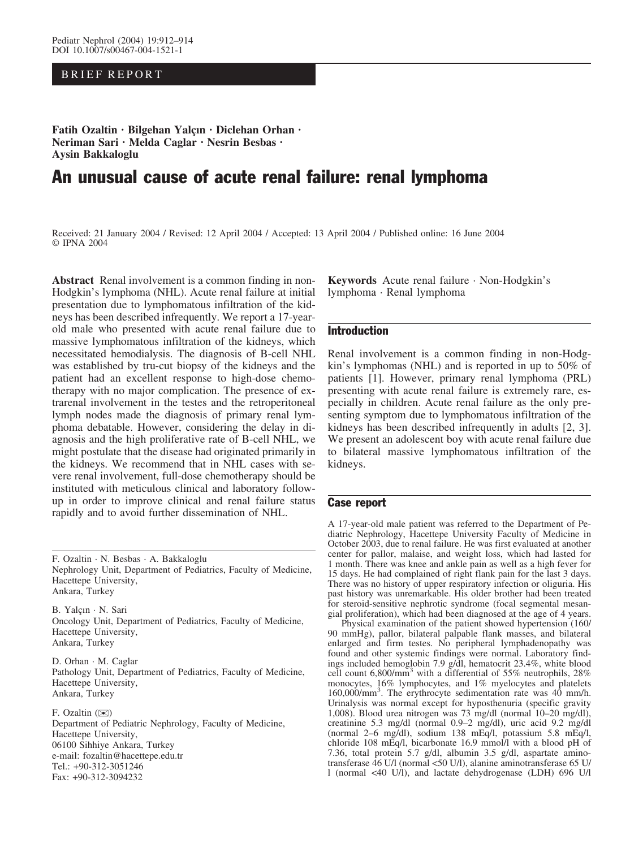# BRIEF REPORT

Fatih Ozaltin · Bilgehan Yalçın · Diclehan Orhan · Neriman Sari · Melda Caglar · Nesrin Besbas · Aysin Bakkaloglu

# An unusual cause of acute renal failure: renal lymphoma

Received: 21 January 2004 / Revised: 12 April 2004 / Accepted: 13 April 2004 / Published online: 16 June 2004 © IPNA 2004

Abstract Renal involvement is a common finding in non-Hodgkin's lymphoma (NHL). Acute renal failure at initial presentation due to lymphomatous infiltration of the kidneys has been described infrequently. We report a 17-yearold male who presented with acute renal failure due to massive lymphomatous infiltration of the kidneys, which necessitated hemodialysis. The diagnosis of B-cell NHL was established by tru-cut biopsy of the kidneys and the patient had an excellent response to high-dose chemotherapy with no major complication. The presence of extrarenal involvement in the testes and the retroperitoneal lymph nodes made the diagnosis of primary renal lymphoma debatable. However, considering the delay in diagnosis and the high proliferative rate of B-cell NHL, we might postulate that the disease had originated primarily in the kidneys. We recommend that in NHL cases with severe renal involvement, full-dose chemotherapy should be instituted with meticulous clinical and laboratory followup in order to improve clinical and renal failure status rapidly and to avoid further dissemination of NHL.

F. Ozaltin · N. Besbas · A. Bakkaloglu Nephrology Unit, Department of Pediatrics, Faculty of Medicine, Hacettepe University, Ankara, Turkey

B. Yalçın · N. Sari Oncology Unit, Department of Pediatrics, Faculty of Medicine, Hacettepe University, Ankara, Turkey

D. Orhan · M. Caglar Pathology Unit, Department of Pediatrics, Faculty of Medicine, Hacettepe University, Ankara, Turkey

F. Ozaltin  $(\mathbb{Z})$ Department of Pediatric Nephrology, Faculty of Medicine, Hacettepe University, 06100 Sihhiye Ankara, Turkey e-mail: fozaltin@hacettepe.edu.tr Tel.: +90-312-3051246 Fax: +90-312-3094232

Keywords Acute renal failure · Non-Hodgkin's lymphoma · Renal lymphoma

### **Introduction**

Renal involvement is a common finding in non-Hodgkin's lymphomas (NHL) and is reported in up to 50% of patients [1]. However, primary renal lymphoma (PRL) presenting with acute renal failure is extremely rare, especially in children. Acute renal failure as the only presenting symptom due to lymphomatous infiltration of the kidneys has been described infrequently in adults [2, 3]. We present an adolescent boy with acute renal failure due to bilateral massive lymphomatous infiltration of the kidneys.

## Case report

A 17-year-old male patient was referred to the Department of Pediatric Nephrology, Hacettepe University Faculty of Medicine in October 2003, due to renal failure. He was first evaluated at another center for pallor, malaise, and weight loss, which had lasted for 1 month. There was knee and ankle pain as well as a high fever for 15 days. He had complained of right flank pain for the last 3 days. There was no history of upper respiratory infection or oliguria. His past history was unremarkable. His older brother had been treated for steroid-sensitive nephrotic syndrome (focal segmental mesangial proliferation), which had been diagnosed at the age of 4 years.

Physical examination of the patient showed hypertension (160/ 90 mmHg), pallor, bilateral palpable flank masses, and bilateral enlarged and firm testes. No peripheral lymphadenopathy was found and other systemic findings were normal. Laboratory findings included hemoglobin 7.9 g/dl, hematocrit 23.4%, white blood cell count  $6,800/\text{mm}^3$  with a differential of 55% neutrophils, 28% monocytes, 16% lymphocytes, and 1% myelocytes and platelets 160,000/mm3 . The erythrocyte sedimentation rate was 40 mm/h. Urinalysis was normal except for hyposthenuria (specific gravity 1,008). Blood urea nitrogen was 73 mg/dl (normal 10–20 mg/dl), creatinine 5.3 mg/dl (normal 0.9–2 mg/dl), uric acid 9.2 mg/dl (normal 2–6 mg/dl), sodium 138 mEq/l, potassium 5.8 mEq/l, chloride 108 mEq/l, bicarbonate 16.9 mmol/l with a blood pH of 7.36, total protein 5.7 g/dl, albumin 3.5 g/dl, aspartate aminotransferase 46 U/l (normal <50 U/l), alanine aminotransferase 65 U/ l (normal <40 U/l), and lactate dehydrogenase (LDH) 696 U/l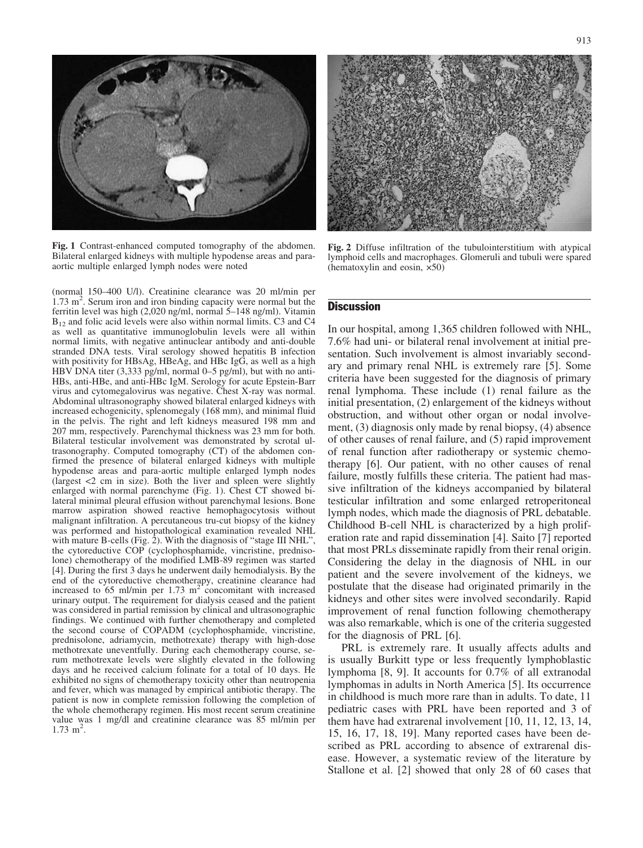

Fig. 1 Contrast-enhanced computed tomography of the abdomen. Bilateral enlarged kidneys with multiple hypodense areas and paraaortic multiple enlarged lymph nodes were noted

(normal 150–400 U/l). Creatinine clearance was 20 ml/min per 1.73 m<sup>2</sup>. Serum iron and iron binding capacity were normal but the ferritin level was high (2,020 ng/ml, normal 5–148 ng/ml). Vitamin  $B_{12}$  and folic acid levels were also within normal limits. C3 and C4 as well as quantitative immunoglobulin levels were all within normal limits, with negative antinuclear antibody and anti-double stranded DNA tests. Viral serology showed hepatitis B infection with positivity for HBsAg, HBeAg, and HBc IgG, as well as a high HBV DNA titer (3,333 pg/ml, normal 0–5 pg/ml), but with no anti-HBs, anti-HBe, and anti-HBc IgM. Serology for acute Epstein-Barr virus and cytomegalovirus was negative. Chest X-ray was normal. Abdominal ultrasonography showed bilateral enlarged kidneys with increased echogenicity, splenomegaly (168 mm), and minimal fluid in the pelvis. The right and left kidneys measured 198 mm and 207 mm, respectively. Parenchymal thickness was 23 mm for both. Bilateral testicular involvement was demonstrated by scrotal ultrasonography. Computed tomography (CT) of the abdomen confirmed the presence of bilateral enlarged kidneys with multiple hypodense areas and para-aortic multiple enlarged lymph nodes (largest <2 cm in size). Both the liver and spleen were slightly enlarged with normal parenchyme (Fig. 1). Chest CT showed bilateral minimal pleural effusion without parenchymal lesions. Bone marrow aspiration showed reactive hemophagocytosis without malignant infiltration. A percutaneous tru-cut biopsy of the kidney was performed and histopathological examination revealed NHL with mature B-cells (Fig. 2). With the diagnosis of "stage III NHL", the cytoreductive COP (cyclophosphamide, vincristine, prednisolone) chemotherapy of the modified LMB-89 regimen was started [4]. During the first 3 days he underwent daily hemodialysis. By the end of the cytoreductive chemotherapy, creatinine clearance had increased to  $65 \text{ ml/min}$  per  $1.73 \text{ m}^2$  concomitant with increased urinary output. The requirement for dialysis ceased and the patient was considered in partial remission by clinical and ultrasonographic findings. We continued with further chemotherapy and completed the second course of COPADM (cyclophosphamide, vincristine, prednisolone, adriamycin, methotrexate) therapy with high-dose methotrexate uneventfully. During each chemotherapy course, serum methotrexate levels were slightly elevated in the following days and he received calcium folinate for a total of 10 days. He exhibited no signs of chemotherapy toxicity other than neutropenia and fever, which was managed by empirical antibiotic therapy. The patient is now in complete remission following the completion of the whole chemotherapy regimen. His most recent serum creatinine value was 1 mg/dl and creatinine clearance was 85 ml/min per  $1.73 \text{ m}^2$ .



Fig. 2 Diffuse infiltration of the tubulointerstitium with atypical lymphoid cells and macrophages. Glomeruli and tubuli were spared (hematoxylin and eosin,  $\times 50$ )

#### **Discussion**

In our hospital, among 1,365 children followed with NHL, 7.6% had uni- or bilateral renal involvement at initial presentation. Such involvement is almost invariably secondary and primary renal NHL is extremely rare [5]. Some criteria have been suggested for the diagnosis of primary renal lymphoma. These include (1) renal failure as the initial presentation, (2) enlargement of the kidneys without obstruction, and without other organ or nodal involvement, (3) diagnosis only made by renal biopsy, (4) absence of other causes of renal failure, and (5) rapid improvement of renal function after radiotherapy or systemic chemotherapy [6]. Our patient, with no other causes of renal failure, mostly fulfills these criteria. The patient had massive infiltration of the kidneys accompanied by bilateral testicular infiltration and some enlarged retroperitoneal lymph nodes, which made the diagnosis of PRL debatable. Childhood B-cell NHL is characterized by a high proliferation rate and rapid dissemination [4]. Saito [7] reported that most PRLs disseminate rapidly from their renal origin. Considering the delay in the diagnosis of NHL in our patient and the severe involvement of the kidneys, we postulate that the disease had originated primarily in the kidneys and other sites were involved secondarily. Rapid improvement of renal function following chemotherapy was also remarkable, which is one of the criteria suggested for the diagnosis of PRL [6].

PRL is extremely rare. It usually affects adults and is usually Burkitt type or less frequently lymphoblastic lymphoma [8, 9]. It accounts for 0.7% of all extranodal lymphomas in adults in North America [5]. Its occurrence in childhood is much more rare than in adults. To date, 11 pediatric cases with PRL have been reported and 3 of them have had extrarenal involvement [10, 11, 12, 13, 14, 15, 16, 17, 18, 19]. Many reported cases have been described as PRL according to absence of extrarenal disease. However, a systematic review of the literature by Stallone et al. [2] showed that only 28 of 60 cases that